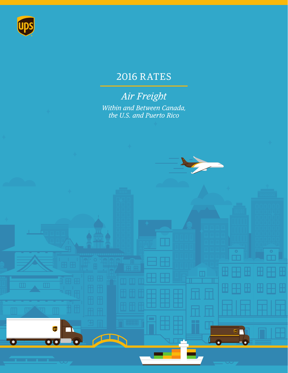

# 2016 RATES

*Air Freight Within and Between Canada, the U.S. and Puerto Rico*



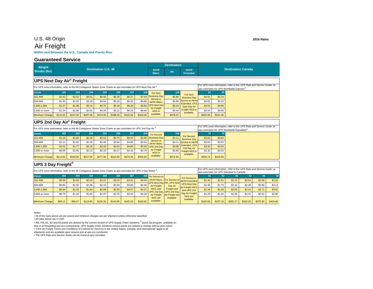### U.S. 48 Origin *2016 Rates*

## Air Freight

#### **Within and Between the U.S., Canada and Puerto Rico**

#### **Guaranteed Service**

| Weight                                                                                                                                                         |                            |          |          |          |          |          |          |                                   | <b>Destination</b>                          |                                          |                                                                                                                                |                                           |        |        |        |        |        |        |
|----------------------------------------------------------------------------------------------------------------------------------------------------------------|----------------------------|----------|----------|----------|----------|----------|----------|-----------------------------------|---------------------------------------------|------------------------------------------|--------------------------------------------------------------------------------------------------------------------------------|-------------------------------------------|--------|--------|--------|--------|--------|--------|
| <b>Breaks (lbs)</b>                                                                                                                                            | <b>Destination U.S. 48</b> |          |          |          |          |          |          | <b>AK/HI</b><br><b>Metro</b>      | <b>PR</b>                                   | <b>AK/HI</b><br><b>Extended</b>          | <b>Destination Canada</b>                                                                                                      |                                           |        |        |        |        |        |        |
| <b>UPS Next Day Air® Freight</b>                                                                                                                               |                            |          |          |          |          |          |          |                                   |                                             |                                          |                                                                                                                                |                                           |        |        |        |        |        |        |
| For UPS zone information, refer to the 48 Contiguous States Zone Charts at ups.com/rates for UPS Next Day Air®.                                                |                            |          |          |          |          |          |          |                                   |                                             |                                          | For UPS zone information, refer to the UPS Rate and Service Guide at<br>ups.com/rates for UPS Worldwide Express <sup>®</sup> . |                                           |        |        |        |        |        |        |
| <b>Zones</b>                                                                                                                                                   | 102                        | 103      | 104      | 105      | 106      | 107      | 108      | For Next                          | 125                                         |                                          | 81                                                                                                                             | 82                                        |        |        |        |        |        |        |
| 151-499                                                                                                                                                        | \$1.42                     | \$2.02   | \$3.51   | \$5.06   | \$5.30   | \$6.37   | \$7.03   | <b>Business Dav</b>               | \$5.86                                      | For Next<br><b>Business Day</b>          | \$4.91                                                                                                                         | \$5.24                                    |        |        |        |        |        |        |
| 500-999                                                                                                                                                        | \$1.40                     | \$1.92   | \$3.16   | \$4.94   | \$5.28   | \$6.35   | \$6.86   | Service to<br><b>AK/HI Metro</b>  | \$5.86                                      | Service to AK/HI                         | \$4.91                                                                                                                         | \$5.24                                    |        |        |        |        |        |        |
| 1,000-1,999                                                                                                                                                    | \$1.37                     | \$1.88   | \$3.14   | \$4.75   | \$5.18   | \$6.30   | \$6.68   | <b>JPS Next Day</b>               | \$5.44                                      | Extended, UPS<br>Next Day Air            | \$4.54                                                                                                                         | \$4.85                                    |        |        |        |        |        |        |
| 2,000 or more                                                                                                                                                  | \$1.34                     | \$1.86   | \$2.91   | \$4.26   | \$5.12   | \$6.26   | \$6.60   | Air Freight<br>NGS is             | \$5.44                                      | Freight NGS is<br>available.             | \$4.54                                                                                                                         | \$4.85                                    |        |        |        |        |        |        |
| <b>Minimum Charge</b>                                                                                                                                          | \$115.00                   | \$197.00 | \$297.00 | \$374.00 | \$398.00 | \$415.00 | \$464.00 | available.                        | \$878.07                                    |                                          | \$493.99                                                                                                                       | \$541.09                                  |        |        |        |        |        |        |
| <b>UPS 2nd Day Air® Freight</b><br>For UPS zone information, refer to the 48 Contiguous States Zone Charts at ups.com/rates for UPS 2nd Day Air <sup>®</sup> . |                            |          |          |          |          |          |          |                                   |                                             |                                          | For UPS zone information, refer to the UPS Rate and Service Guide at<br>ups.com/rates for UPS Worldwide Expedited®.            |                                           |        |        |        |        |        |        |
| <b>Zones</b>                                                                                                                                                   | 202                        | 203      | 204      | 205      | 206      | 207      | 208      | For Second                        | 225                                         | For Second                               | 71                                                                                                                             | 72                                        |        |        |        |        |        |        |
| 151-499                                                                                                                                                        | \$1.16                     | \$1.92   | \$2.40   | \$2.52   | \$3.75   | \$5.03   | \$5.90   | <b>Business Dav</b><br>Service to | \$4.11                                      | <b>Business Day</b>                      | \$3.63                                                                                                                         | \$3.82                                    |        |        |        |        |        |        |
| 500-999                                                                                                                                                        | \$1.12                     | \$1.81   | \$2.26   | \$2.46   | \$3.64   | \$4.86   | \$5.54   | <b>AK/HI Metro</b>                | \$4.11                                      | Service to AK/HI<br><b>Extended, UPS</b> | \$3.63                                                                                                                         | \$3.82                                    |        |        |        |        |        |        |
| 1,000-1,999                                                                                                                                                    | \$1.02                     | \$1.77   | \$2.16   | \$2.43   | \$3.52   | \$4.80   | \$5.36   | <b>UPS 2nd Day</b><br>Air Freight | \$3.80                                      | 2nd Day Air                              | \$3.32                                                                                                                         | \$3.50                                    |        |        |        |        |        |        |
| 2,000 or more                                                                                                                                                  | \$0.99                     | \$1.65   | \$2.13   | \$2.19   | \$3.17   | \$4.16   | \$4.76   | NGS is                            | \$3.80                                      | <b>Freight NGS is</b><br>available.      | \$3.32                                                                                                                         | \$3.50                                    |        |        |        |        |        |        |
| <b>Minimum Charge</b>                                                                                                                                          | \$113.00                   | \$183.00 | \$227.00 | \$277.00 | \$313.00 | \$374.00 | \$405.00 | available.                        | \$572.50                                    |                                          | \$393.74                                                                                                                       | \$416.69                                  |        |        |        |        |        |        |
| UPS 3 Day Freight®                                                                                                                                             |                            |          |          |          |          |          |          |                                   |                                             |                                          | For UPS zone information, refer to the UPS Rate and Service Guide at                                                           |                                           |        |        |        |        |        |        |
| For UPS zone information, refer to the 48 Contiguous States Zone Charts at ups.com/rates for UPS 3 Day Select <sup>®</sup> .                                   |                            |          |          |          |          |          |          |                                   |                                             |                                          |                                                                                                                                | ups.com/rates for UPS Standard to Canada. |        |        |        |        |        |        |
| Zones                                                                                                                                                          | 302                        | 303      | 304      | 305      | 306      | 307      | 308      | For Service to                    |                                             | For Service to                           | 51                                                                                                                             | 52                                        | 53     | 54     | 55     | 56     |        |        |
| 151-499                                                                                                                                                        | \$0.96                     | \$1.65   | \$2.02   | \$2.21   | \$3.15   | \$3.91   | \$4.54   | AK/HI Metro,                      | For Service to<br>UPS Next Dav PR. UPS Next | <b>AK/HI Extended</b>                    | \$1.40                                                                                                                         | \$1.81                                    | \$2.13 | \$2.54 | \$2.88 | \$3.20 |        |        |
| 500-999                                                                                                                                                        | \$0.86                     | \$1.55   | \$1.98   | \$2.15   | \$2.94   | \$3.80   | \$4.46   | Air Freight                       | Day Air                                     | <b>UPS Next Dav</b><br>Air Freight NGS.  | \$1.38                                                                                                                         | \$1.79                                    | \$2.10 | \$2.48 | \$2.80 | \$3.13 |        |        |
| 1,000-1,999                                                                                                                                                    | \$0.84                     | \$1.45   | \$1.84   | \$2.08   | \$2.85   | \$3.57   | \$4.37   | NGS, and<br><b>UPS 2nd Dav</b>    | Freight and<br><b>UPS 2nd Day</b>           | and UPS 2nd                              | \$1.34                                                                                                                         | \$1.69                                    | \$2.05 | \$2.41 | \$2.71 | \$3.02 |        |        |
| 2,000 or more                                                                                                                                                  | \$0.79                     | \$1.42   | \$1.82   | \$1.97   | \$2.70   | \$3.54   | \$4.28   | <b>Air Freight</b>                | Air Freight are                             |                                          |                                                                                                                                | Day Air Freight<br>NGS are                | \$1.29 | \$1.64 | \$1.95 | \$2.31 | \$2.61 | \$2.90 |
|                                                                                                                                                                |                            |          |          |          |          |          |          | NGS are                           | available.                                  | available.                               |                                                                                                                                |                                           |        |        |        |        |        |        |

Minimum Charge \$99.11 \$99.47 \$118.60 \$126.26 \$142.85 \$163.25 \$163.85 \$231.86 \$233.05 \$233.16 \$282.17 \$333.25 \$375.83 \$419.60

available.

Notes:

• All of the rates above are per pound and minimum charges are per shipment unless otherwise specified.

• All rates above are in USD.

∙ AM, PM, B1, B2 and B3 points are defined by the current version of UPS Supply Chain Solutions <sup>®</sup> Quick Zip program, available on<br>disk or at forwarding.ups-scs.com/quickzip. UPS Supply Chain Solutions service points are

shipments and are available upon request and at ups-scs.com/terms.

• The UPS Rate and Service Guide can be found at ups.com/rates.